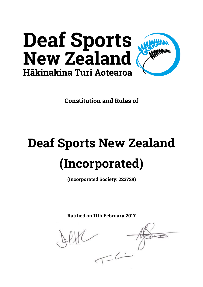

**Constitution and Rules of**

# **Deaf Sports New Zealand (Incorporated)**

**(Incorporated Society: 223729)**

**Ratified on 11th February 2017**

 $2c$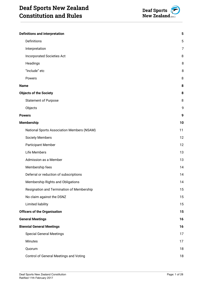

| <b>Definitions and interpretation</b>      | 5              |
|--------------------------------------------|----------------|
| Definitions                                | 5              |
| Interpretation                             | $\overline{7}$ |
| <b>Incorporated Societies Act</b>          | 8              |
| Headings                                   | 8              |
| "Include" etc                              | 8              |
| Powers                                     | 8              |
| <b>Name</b>                                | 8              |
| <b>Objects of the Society</b>              | 8              |
| <b>Statement of Purpose</b>                | 8              |
| Objects                                    | 9              |
| <b>Powers</b>                              | 9              |
| <b>Membership</b>                          | 10             |
| National Sports Association Members (NSAM) | 11             |
| <b>Society Members</b>                     | 12             |
| <b>Participant Member</b>                  | 12             |
| Life Members                               | 13             |
| Admission as a Member                      | 13             |
| Membership fees                            | 14             |
| Deferral or reduction of subscriptions     | 14             |
| Membership Rights and Obligations          | 14             |
| Resignation and Termination of Membership  | 15             |
| No claim against the DSNZ                  | 15             |
| <b>Limited liability</b>                   | 15             |
| <b>Officers of the Organisation</b>        | 15             |
| <b>General Meetings</b>                    | 16             |
| <b>Biennial General Meetings</b>           | 16             |
| <b>Special General Meetings</b>            | 17             |
| Minutes                                    | 17             |
| Quorum                                     | 18             |
| Control of General Meetings and Voting     | 18             |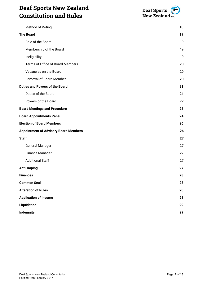# **Deaf Sports New Zealand Constitution and Rules**



| Method of Voting                             | 18 |
|----------------------------------------------|----|
| <b>The Board</b>                             | 19 |
| Role of the Board                            | 19 |
| Membership of the Board                      | 19 |
| Ineligibility                                | 19 |
| Terms of Office of Board Members             | 20 |
| Vacancies on the Board                       | 20 |
| <b>Removal of Board Member</b>               | 20 |
| <b>Duties and Powers of the Board</b>        | 21 |
| Duties of the Board                          | 21 |
| Powers of the Board                          | 22 |
| <b>Board Meetings and Procedure</b>          | 23 |
| <b>Board Appointments Panel</b>              | 24 |
| <b>Election of Board Members</b>             | 26 |
| <b>Appointment of Advisory Board Members</b> | 26 |
| <b>Staff</b>                                 | 27 |
| <b>General Manager</b>                       | 27 |
| <b>Finance Manager</b>                       | 27 |
| <b>Additional Staff</b>                      | 27 |
| <b>Anti-Doping</b>                           | 27 |
| <b>Finances</b>                              | 28 |
| <b>Common Seal</b>                           | 28 |
| <b>Alteration of Rules</b>                   | 28 |
| <b>Application of Income</b>                 | 28 |
| Liquidation                                  | 29 |
| <b>Indemnity</b>                             | 29 |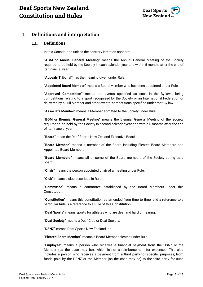

## <span id="page-3-1"></span><span id="page-3-0"></span>**1. Definitions and interpretation**

#### **1.1. Definitions**

In this Constitution unless the contrary intention appears:

**"AGM or Annual General Meeting"** means the Annual General Meeting of the Society required to be held by the Society in each calendar year and within 5 months after the end of its financial year.

**"Appeals Tribunal"** has the meaning given under Rule.

**"Appointed Board Member"** means a Board Member who has been appointed under Rule.

**"Approved Competition"** means the events specified as such in the By-laws, being competitions relating to a sport recognised by the Society or an International Federation or delivered by a Full Member and other events/competitions specified under that By-law.

**"Associate Member"** means a Member admitted to the Society under Rule.

**"BGM or Biennial General Meeting"** means the Biennial General Meeting of the Society required to be held by the Society in second calendar year and within 5 months after the end of its financial year.

**"Board"** mean the Deaf Sports New Zealand Executive Board

**"Board Member"** means a member of the Board including Elected Board Members and Appointed Board Members.

**"Board Members"** means all or some of the Board members of the Society acting as a board.

**"Chair"** means the person appointed chair of a meeting under Rule.

**"Club"** means a club described in Rule

**"Committee"** means a committee established by the Board Members under this Constitution.

**"Constitution"** means this constitution as amended from time to time, and a reference to a particular Rule is a reference to a Rule of this Constitution

**"Deaf Sports**" means sports for athletes who are deaf and hard of hearing.

**"Deaf Society"** means a Deaf Club or Deaf Society.

**"DSNZ"** means Deaf Sports New Zealand Inc.

**"Elected Board Member"** means a Board Member elected under Rule.

**"Employee"** means a person who receives a financial payment from the DSNZ or the Member (as the case may be), which is not a reimbursement for expenses. This also includes a person who receives a payment from a third party for specific purposes, from funds paid by the DSNZ or the Member (as the case may be) to the third party for such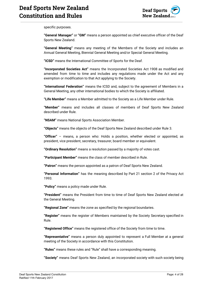

specific purposes.

**"General Manager"** or **"GM"** means a person appointed as chief executive officer of the Deaf Sports New Zealand.

**"General Meeting"** means any meeting of the Members of the Society and includes an Annual General Meeting, Biennial General Meeting and/or Special General Meeting.

**"ICSD"** means the International Committee of Sports for the Deaf.

**"Incorporated Societies Act"** means the Incorporated Societies Act 1908 as modified and amended from time to time and includes any regulations made under the Act and any exemption or modification to that Act applying to the Society.

**"International Federation"** means the ICSD and, subject to the agreement of Members in a General Meeting, any other international bodies to which the Society is affiliated.

**"Life Member"** means a Member admitted to the Society as a Life Member under Rule.

**"Member"** means and includes all classes of members of Deaf Sports New Zealand described under Rule.

**"NSAM"** means National Sports Association Member.

**"Objects"** means the objects of the Deaf Sports New Zealand described under Rule 3.

**"Officer"** – means, a person who: Holds a position, whether elected or appointed, as president, vice president, secretary, treasurer, board member or equivalent.

**"Ordinary Resolution"** means a resolution passed by a majority of votes cast.

**"Participant Member"** means the class of member described in Rule.

**"Patron"** means the person appointed as a patron of Deaf Sports New Zealand.

**"Personal Information"** has the meaning described by Part 21 section 2 of the Privacy Act 1993.

**"Policy"** means a policy made under Rule.

**"President"** means the President from time to time of Deaf Sports New Zealand elected at the General Meeting.

**"Regional Zone"** means the zone as specified by the regional boundaries.

**"Register"** means the register of Members maintained by the Society Secretary specified in Rule.

**"Registered Office"** means the registered office of the Society from time to time.

**"Representative"** means a person duly appointed to represent a Full Member at a general meeting of the Society in accordance with this Constitution.

**"Rules"** means these rules and "Rule" shall have a corresponding meaning.

**"Society"** means Deaf Sports New Zealand, an incorporated society with such society being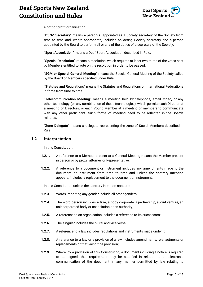

a not for profit organisation.

**"DSNZ Secretary"** means a person(s) appointed as a Society secretary of the Society from time to time and, where appropriate, includes an acting Society secretary and a person appointed by the Board to perform all or any of the duties of a secretary of the Society.

**"Sport Association"** means a Deaf Sport Association described in Rule.

**"Special Resolution"** means a resolution, which requires at least two-thirds of the votes cast by Members entitled to vote on the resolution in order to be passed.

**"SGM or Special General Meeting"** means the Special General Meeting of the Society called by the Board or Members specified under Rule.

**"Statutes and Regulations"** means the Statutes and Regulations of International Federations in force from time to time.

**"Telecommunication Meeting"** means a meeting held by telephone, email, video, or any other technology (or any combination of these technologies), which permits each Director at a meeting of Directors, or each Voting Member at a meeting of members to communicate with any other participant. Such forms of meeting need to be reflected in the Boards minutes.

**"Zone Delegate"** means a delegate representing the zone of Social Members described in Rule.

#### <span id="page-5-0"></span>**1.2. Interpretation**

In this Constitution:

- **1.2.1.** A reference to a Member present at a General Meeting means the Member present in person or by proxy, attorney or Representative;
- **1.2.2.** A reference to a document or instrument includes any amendments made to the document or instrument from time to time and, unless the contrary intention appears, includes a replacement to the document or instrument.

In this Constitution unless the contrary intention appears:

- **1.2.3.** Words importing any gender include all other genders;
- **1.2.4.** The word person includes a firm, a body corporate, a partnership, a joint venture, an unincorporated body or association or an authority;
- **1.2.5.** A reference to an organisation includes a reference to its successors;
- **1.2.6.** The singular includes the plural and vice versa;
- **1.2.7.** A reference to a law includes regulations and instruments made under it;
- **1.2.8.** A reference to a law or a provision of a law includes amendments, re-enactments or replacements of that law or the provision;
- **1.2.9.** Where, by a provision of this Constitution, a document including a notice is required to be signed, that requirement may be satisfied in relation to an electronic communication of the document in any manner permitted by law relating to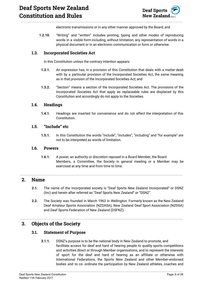

electronic transmissions or in any other manner approved by the Board; and

**1.2.10.** "Writing" and "written" includes printing, typing and other modes of reproducing words in a visible form including, without limitation, any representation of words in a physical document or in an electronic communication or form or otherwise.

#### <span id="page-6-0"></span>**1.3. Incorporated Societies Act**

In this Constitution unless the contrary intention appears:

- **1.3.1.** An expression has, in a provision of this Constitution that deals with a matter dealt with by a particular provision of the Incorporated Societies Act, the same meaning as in that provision of the Incorporated Societies Act; and
- **1.3.2.** "Section" means a section of the Incorporated Societies Act. The provisions of the Incorporated Societies Act that apply as replaceable rules are displaced by this Constitution and accordingly do not apply to the Societies.

#### <span id="page-6-1"></span>**1.4. Headings**

**1.4.1.** Headings are inserted for convenience and do not affect the interpretation of this Constitution.

#### <span id="page-6-2"></span>**1.5. "Include" etc**

**1.5.1.** In this Constitution the words "include", "includes", "including" and "for example" are not to be interpreted as words of limitation.

#### <span id="page-6-3"></span>**1.6. Powers**

**1.6.1.** A power, an authority or discretion reposed in a Board Member, the Board Members, a Committee, the Society in general meeting or a Member may be exercised at any time and from time to time.

## <span id="page-6-4"></span>**2. Name**

- **2.1.** The name of the incorporated society is "Deaf Sports New Zealand Incorporated" or DSNZ (Inc) and herein after referred as "Deaf Sports New Zealand" or "DSNZ".
- **2.2.** The Society was founded in March 1963 in Wellington. Formerly known as the New Zealand Deaf Amateur Sports Association (NZDASA), New Zealand Deaf Sport Association (NZDSA) and Deaf Sports Federation of New Zealand (DSFNZ).

## <span id="page-6-6"></span><span id="page-6-5"></span>**3. Objects of the Society**

#### **3.1. Statement of Purpose**

**3.1.1.** DSNZ's purpose is to be the national body in New Zealand to promote, and facilitate access for deaf and hard of hearing people to quality sports competitions and activities direct or through Member organisations, and to represent the interests of sport for the deaf and hard of hearing as an affiliate or otherwise with International Federations, the Sports New Zealand and other Member-endorsed bodies and to co- ordinate the participation by New Zealand athletes, coaches and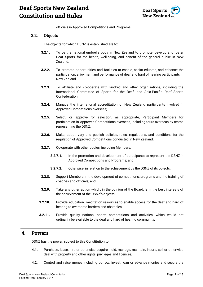

officials in Approved Competitions and Programs.

#### <span id="page-7-0"></span>**3.2. Objects**

The objects for which DSNZ is established are to:

- **3.2.1.** To be the national umbrella body in New Zealand to promote, develop and foster Deaf Sports for the health, well-being, and benefit of the general public in New Zealand.
- **3.2.2.** To promote opportunities and facilities to enable, assist educate, and enhance the participation, enjoyment and performance of deaf and hard of hearing participants in New Zealand.
- **3.2.3.** To affiliate and co-operate with kindred and other organisations, including the International Committee of Sports for the Deaf, and Asia-Pacific Deaf Sports Confederation;
- **3.2.4.** Manage the international accreditation of New Zealand participants involved in Approved Competitions overseas;
- **3.2.5.** Select, or approve for selection, as appropriate, Participant Members for participation in Approved Competitions overseas, including tours overseas by teams representing the DSNZ;
- **3.2.6.** Make, adopt, vary and publish policies, rules, regulations, and conditions for the regulation of Approved Competitions conducted in New Zealand;
- **3.2.7.** Co-operate with other bodies, including Members:
	- **3.2.7.1.** In the promotion and development of participants to represent the DSNZ in Approved Competitions and Programs; and
	- **3.2.7.2.** Otherwise, in relation to the achievement by the DSNZ of its objects,
- **3.2.8.** Support Members in the development of competitions, programs and the training of coaches and officials; and
- **3.2.9.** Take any other action which, in the opinion of the Board, is in the best interests of the achievement of the DSNZ's objects;
- **3.2.10.** Provide education, meditation resources to enable access for the deaf and hard of hearing to overcome barriers and obstacles;
- **3.2.11.** Provide quality national sports competitions and activities, which would not ordinarily be available to the deaf and hard of hearing community.

#### <span id="page-7-1"></span>**4. Powers**

DSNZ has the power, subject to this Constitution to:

- **4.1.** Purchase, lease, hire or otherwise acquire, hold, manage, maintain, insure, sell or otherwise deal with property and other rights, privileges and licences;
- **4.2.** Control and raise money including borrow, invest, loan or advance monies and secure the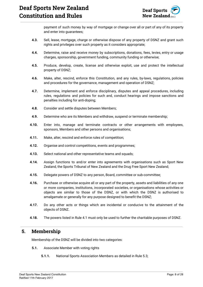

payment of such money by way of mortgage or change over all or part of any of its property and enter into guarantees;

- **4.3.** Sell, lease, mortgage, charge or otherwise dispose of any property of DSNZ and grant such rights and privileges over such property as it considers appropriate;
- **4.4.** Determine, raise and receive money by subscriptions, donations, fees, levies, entry or usage charges, sponsorship, government funding, community funding or otherwise;
- **4.5.** Produce, develop, create, license and otherwise exploit, use and protect the intellectual property of DSNZ;
- **4.6.** Make, alter, rescind, enforce this Constitution, and any rules, by-laws, regulations, policies and procedures for the governance, management and operation of DSNZ;
- **4.7.** Determine, implement and enforce disciplinary, disputes and appeal procedures, including rules, regulations and policies for such and, conduct hearings and impose sanctions and penalties including for anti-doping;
- **4.8.** Consider and settle disputes between Members;
- **4.9.** Determine who are its Members and withdraw, suspend or terminate membership;
- **4.10.** Enter into, manage and terminate contracts or other arrangements with employees, sponsors, Members and other persons and organisations;
- **4.11.** Make, alter, rescind and enforce rules of competition;
- **4.12.** Organise and control competitions, events and programmes;
- **4.13.** Select national and other representative teams and squads;
- **4.14.** Assign functions to and/or enter into agreements with organisations such as Sport New Zealand, the Sports Tribunal of New Zealand and the Drug Free Sport New Zealand;
- **4.15.** Delegate powers of DSNZ to any person, Board, committee or sub-committee;
- **4.16.** Purchase or otherwise acquire all or any part of the property, assets and liabilities of any one or more companies, institutions, incorporated societies, or organisations whose activities or objects are similar to those of the DSNZ, or with which the DSNZ is authorised to amalgamate or generally for any purpose designed to benefit the DSNZ;
- **4.17.** Do any other acts or things which are incidental or conducive to the attainment of the objects of DSNZ.
- **4.18.** The powers listed in Rule 4.1 must only be used to further the charitable purposes of DSNZ.

## <span id="page-8-0"></span>**5. Membership**

Membership of the DSNZ will be divided into two categories:

- **5.1.** Associate Member with voting rights
	- **5.1.1.** National Sports Association Members as detailed in Rule 5.3;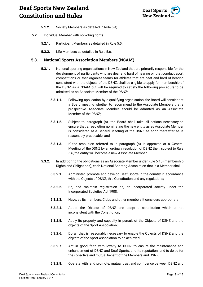

- **5.1.2.** Society Members as detailed in Rule 5.4;
- **5.2.** Individual Member with no voting rights
	- **5.2.1.** Participant Members as detailed in Rule 5.5.
	- **5.2.2.** Life Members as detailed in Rule 5.6.

#### <span id="page-9-0"></span>**5.3. National Sports Association Members (NSAM)**

- **5.3.1.** National sporting organisations in New Zealand that are primarily responsible for the development of participants who are deaf and hard of hearing or that conduct sport competitions or that organise teams for athletes that are deaf and hard of hearing consistent with the objects of the DSNZ, shall be eligible to apply for membership of the DSNZ as a NSAM but will be required to satisfy the following procedure to be admitted as an Associate Member of the DSNZ:
	- **5.3.1.1.** Following application by a qualifying organisation, the Board will consider at a Board meeting whether to recommend to the Associate Members that a prospective Associate Member should be admitted as an Associate Member of the DSNZ;
	- **5.3.1.2.** Subject to paragraph (a), the Board shall take all actions necessary to ensure that a resolution nominating the new entity as as Associate Member is considered at a General Meeting of the DSNZ as soon thereafter as is reasonably practicable; and
	- **5.3.1.3.** If the resolution referred to in paragraph (b) is approved at a General Meeting of the DSNZ by an ordinary resolution of DSNZ then, subject to Rule 5.6, the entity will become a new Associate Member.
- **5.3.2.** In addition to the obligations as an Associate Member under Rule 5.10 (membership Rights and Obligations), each National Sporting Association that is a Member shall:
	- **5.3.2.1.** Administer, promote and develop Deaf Sports in the country in accordance with the Objects of DSNZ, this Constitution and any regulations;
	- **5.3.2.2.** Be, and maintain registration as, an incorporated society under the Incorporated Societies Act 1908;
	- **5.3.2.3.** Have, as its members, Clubs and other members it considers appropriate
	- **5.3.2.4.** Adopt the Objects of DSNZ and adopt a constitution which is not inconsistent with the Constitution;
	- **5.3.2.5.** Apply its property and capacity in pursuit of the Objects of DSNZ and the objects of the Sport Association;
	- **5.3.2.6.** Do all that is reasonably necessary to enable the Objects of DSNZ and the objects of the Sport Association to be achieved;
	- **5.3.2.7.** Act in good faith with loyalty to DSNZ to ensure the maintenance and enhancement of DSNZ and Deaf Sports, and its reputation, and to do so for the collective and mutual benefit of the Members and DSNZ;
	- **5.3.2.8.** Operate with, and promote, mutual trust and confidence between DSNZ and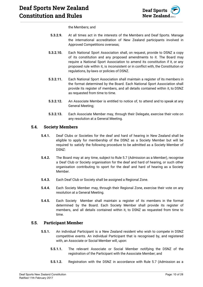

the Members; and

- **5.3.2.9.** At all times act in the interests of the Members and Deaf Sports. Manage the international accreditation of New Zealand participants involved in Approved Competitions overseas;
- **5.3.2.10.** Each National Sport Association shall, on request, provide to DSNZ a copy of its constitution and any proposed amendments to it. The Board may require a National Sport Association to amend its constitution if it, or any proposed rule within it, is inconsistent or in conflict with, the Constitution or regulations, by-laws or policies of DSNZ.
- **5.3.2.11.** Each National Sport Association shall maintain a register of its members in the format determined by the Board. Each National Sport Association shall provide its register of members, and all details contained within it, to DSNZ as requested from time to time.
- **5.3.2.12.** An Associate Member is entitled to notice of, to attend and to speak at any General Meeting;
- **5.3.2.13.** Each Associate Member may, through their Delegate, exercise their vote on any resolution at a General Meeting.

#### <span id="page-10-0"></span>**5.4. Society Members**

- **5.4.1.** Deaf Clubs or Societies for the deaf and hard of hearing in New Zealand shall be eligible to apply for membership of the DSNZ as a Society Member but will be required to satisfy the following procedure to be admitted as a Society Member of DSNZ:
- **5.4.2.** The Board may at any time, subject to Rule 5.7 (Admission as a Member), recognise a Deaf Club or Society organisation for the deaf and hard of hearing, or such other organisation contributing to sport for the deaf and hard of hearing as a Society Member.
- **5.4.3.** Each Deaf Club or Society shall be assigned a Regional Zone.
- **5.4.4.** Each Society Member may, through their Regional Zone, exercise their vote on any resolution at a General Meeting.
- **5.4.5.** Each Society Member shall maintain a register of its members in the format determined by the Board. Each Society Member shall provide its register of members, and all details contained within it, to DSNZ as requested from time to time.

#### <span id="page-10-1"></span>**5.5. Participant Member**

- **5.5.1.** An individual Participant is a New Zealand resident who wish to compete in DSNZ competitive events. An individual Participant that is recognised by, and registered with, an Associate or Social Member will, upon:
	- **5.5.1.1.** The relevant Associate or Social Member notifying the DSNZ of the registration of the Participant with the Associate Member; and
	- **5.5.1.2.** Registration with the DSNZ in accordance with Rule 5.7 (Admission as a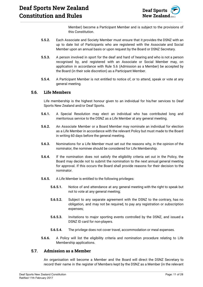

Member) become a Participant Member and is subject to the provisions of this Constitution.

- **5.5.2.** Each Associate and Society Member must ensure that it provides the DSNZ with an up to date list of Participants who are registered with the Associate and Social Member upon an annual basis or upon request by the Board or DSNZ Secretary.
- **5.5.3.** A person involved in sport for the deaf and hard of hearing and who is not a person recognised by, and registered with an Associate or Social Member may, on application in accordance with Rule 5.6 (Admission as a Member) be accepted by the Board (in their sole discretion) as a Participant Member.
- **5.5.4.** A Participant Member is not entitled to notice of, or to attend, speak or vote at any general meeting.

#### <span id="page-11-0"></span>**5.6. Life Members**

Life membership is the highest honour given to an individual for his/her services to Deaf Sports New Zealand and/or Deaf Sports.

- **5.6.1.** A Special Resolution may elect an individual who has contributed long and meritorious service to the DSNZ as a Life Member at any general meeting.
- **5.6.2.** An Associate Member or a Board Member may nominate an individual for election as a Life Member in accordance with the relevant Policy but must made to the Board in writing 60 days before the general meeting.
- **5.6.3.** Nominations for a Life Member must set out the reasons why, in the opinion of the nominator, the nominee should be considered for Life Membership.
- **5.6.4.** If the nomination does not satisfy the eligibility criteria set out in the Policy, the Board may decide not to submit the nomination to the next annual general meeting for approval. If this occurs the Board shall provide reasons for their decision to the nominator.
- **5.6.5.** A Life Member is entitled to the following privileges:
	- **5.6.5.1.** Notice of and attendance at any general meeting with the right to speak but not to vote at any general meeting;
	- **5.6.5.2.** Subject to any separate agreement with the DSNZ to the contrary, has no obligation, and may not be required, to pay any registration or subscription expenses;
	- **5.6.5.3.** Invitations to major sporting events controlled by the DSNZ, and issued a DSNZ ID card for non-players.
	- **5.6.5.4.** The privilege does not cover travel, accommodation or meal expenses.
- **5.6.6.** A Policy will list the eligibility criteria and nomination procedure relating to Life Membership applications.

#### <span id="page-11-1"></span>**5.7. Admission as a Member**

An organisation will become a Member and the Board will direct the DSNZ Secretary to record their name in the register of Members kept by the DSNZ as a Member (in the relevant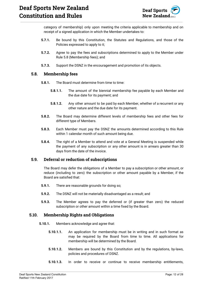

category of membership) only upon meeting the criteria applicable to membership and on receipt of a signed application in which the Member undertakes to:

- **5.7.1.** Be bound by this Constitution, the Statutes and Regulations, and those of the Policies expressed to apply to it;
- **5.7.2.** Agree to pay the fees and subscriptions determined to apply to the Member under Rule 5.8 (Membership fees); and
- **5.7.3.** Support the DSNZ in the encouragement and promotion of its objects.

#### <span id="page-12-0"></span>**5.8. Membership fees**

- **5.8.1.** The Board must determine from time to time:
	- **5.8.1.1.** The amount of the biennial membership fee payable by each Member and the due date for its payment; and
	- **5.8.1.2.** Any other amount to be paid by each Member, whether of a recurrent or any other nature and the due date for its payment.
- **5.8.2.** The Board may determine different levels of membership fees and other fees for different type of Members.
- **5.8.3.** Each Member must pay the DSNZ the amounts determined according to this Rule within 1 calendar month of such amount being due.
- **5.8.4.** The right of a Member to attend and vote at a General Meeting is suspended while the payment of any subscription or any other amount is in arrears greater than 30 days from the date of the invoice.

#### <span id="page-12-1"></span>**5.9. Deferral or reduction of subscriptions**

The Board may defer the obligations of a Member to pay a subscription or other amount, or reduce (including to zero) the subscription or other amount payable by a Member, if the Board are satisfied that:

- **5.9.1.** There are reasonable grounds for doing so;
- **5.9.2.** The DSNZ will not be materially disadvantaged as a result; and
- **5.9.3.** The Member agrees to pay the deferred or (if greater than zero) the reduced subscription or other amount within a time fixed by the Board.

#### <span id="page-12-2"></span>**5.10. Membership Rights and Obligations**

- **5.10.1.** Members acknowledge and agree that:
	- **5.10.1.1.** An application for membership must be in writing and in such format as may be required by the Board from time to time. All applications for membership will be determined by the Board.
	- **5.10.1.2.** Members are bound by this Constitution and by the regulations, by-laws, policies and procedures of DSNZ.
	- **5.10.1.3.** In order to receive or continue to receive membership entitlements,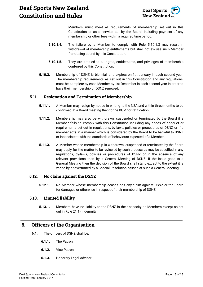

Members must meet all requirements of membership set out in this Constitution or as otherwise set by the Board, including payment of any membership or other fees within a required time period.

- **5.10.1.4.** The failure by a Member to comply with Rule 5.10.1.3 may result in withdrawal of membership entitlements but shall not excuse such Member from being bound by this Constitution.
- **5.10.1.5.** They are entitled to all rights, entitlements, and privileges of membership conferred by this Constitution.
- **5.10.2.** Membership of DSNZ is biennial, and expires on 1st January in each second year. The membership requirements as set out in this Constitution and any regulations, must be complete by each Member by 1st December in each second year in order to have their membership of DSNZ renewed.

#### <span id="page-13-0"></span>**5.11. Resignation and Termination of Membership**

- **5.11.1.** A Member may resign by notice in writing to the NSA and within three months to be confirmed at a Board meeting then to the BGM for ratification.
- **5.11.2.** Membership may also be withdrawn, suspended or terminated by the Board if a Member fails to comply with this Constitution including any codes of conduct or requirements set out in regulations, by-laws, policies or procedures of DSNZ or if a member acts in a manner which is considered by the Board to be harmful to DSNZ or inconsistent with the standards of behaviours expected of a Member.
- **5.11.3.** A Member whose membership is withdrawn, suspended or terminated by the Board may apply for the matter to be reviewed by such process as may be specified in any regulations, by-laws, policies or procedures of DSNZ or in the absence of any relevant provisions then by a General Meeting of DSNZ. If the issue goes to a General Meeting then the decision of the Board shall stand except to the extent it is varied by or overturned by a Special Resolution passed at such a General Meeting.

#### <span id="page-13-1"></span>**5.12. No claim against the DSNZ**

**5.12.1.** No Member whose membership ceases has any claim against DSNZ or the Board for damages or otherwise in respect of their membership of DSNZ.

#### <span id="page-13-2"></span>**5.13. Limited liability**

**5.13.1.** Members have no liability to the DSNZ in their capacity as Members except as set out in Rule 21.1 (Indemnity).

## <span id="page-13-3"></span>**6. Officers of the Organisation**

- **6.1.** The officers of DSNZ shall be:
	- **6.1.1.** The Patron;
	- **6.1.2.** Vice-Patron
	- **6.1.3.** Honorary Legal Advisor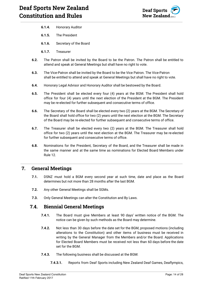

- **6.1.4.** Honorary Auditor
- **6.1.5.** The President
- **6.1.6.** Secretary of the Board
- **6.1.7.** Treasurer
- **6.2.** The Patron shall be invited by the Board to be the Patron. The Patron shall be entitled to attend and speak at General Meetings but shall have no right to vote.
- **6.3.** The Vice-Patron shall be invited by the Board to be the Vice Patron. The Vice-Patron shall be entitled to attend and speak at General Meetings but shall have no right to vote.
- **6.4.** Honorary Legal Advisor and Honorary Auditor shall be bestowed by the Board.
- **6.5.** The President shall be elected every four (4) years at the BGM. The President shall hold office for four (4) years until the next election of the President at the BGM. The President may be re-elected for further subsequent and consecutive terms of office.
- **6.6.** The Secretary of the Board shall be elected every two (2) years at the BGM. The Secretary of the Board shall hold office for two (2) years until the next election at the BGM. The Secretary of the Board may be re-elected for further subsequent and consecutive terms of office.
- **6.7.** The Treasurer shall be elected every two (2) years at the BGM. The Treasurer shall hold office for two (2) years until the next election at the BGM. The Treasurer may be re-elected for further subsequent and consecutive terms of office.
- **6.8.** Nominations for the President, Secretary of the Board, and the Treasurer shall be made in the same manner and at the same time as nominations for Elected Board Members under Rule 12.

## <span id="page-14-0"></span>**7. General Meetings**

- **7.1.** DSNZ must hold a BGM every second year at such time, date and place as the Board determines but not more than 28 months after the last BGM.
- **7.2.** Any other General Meetings shall be SGMs.
- **7.3.** Only General Meetings can alter the Constitution and By Laws.

## <span id="page-14-1"></span>**7.4. Biennial General Meetings**

- **7.4.1.** The Board must give Members at least 90 days' written notice of the BGM. The notice can be given by such methods as the Board may determine.
- **7.4.2.** Not less than 30 days before the date set for the BGM, proposed motions (including alterations to the Constitution) and other items of business must be received in writing by the General Manager from the Members and/or the Board. Applications for Elected Board Members must be received not less than 60 days before the date set for the BGM.
- **7.4.3.** The following business shall be discussed at the BGM:
	- **7.4.3.1.** Reports from Deaf Sports including New Zealand Deaf Games, Deaflympics,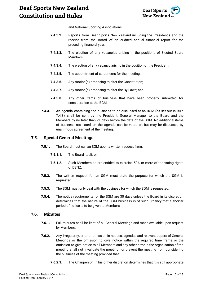

and National Sporting Associations

- **7.4.3.2.** Reports from Deaf Sports New Zealand including the President's and the receipt from the Board of an audited annual financial report for the preceding financial year;
- **7.4.3.3.** The election of any vacancies arising in the positions of Elected Board Members;
- **7.4.3.4.** The election of any vacancy arising in the position of the President;
- **7.4.3.5.** The appointment of scrutineers for the meeting;
- **7.4.3.6.** Any motion(s) proposing to alter the Constitution;
- **7.4.3.7.** Any motion(s) proposing to alter the By Laws; and
- **7.4.3.8.** Any other items of business that have been properly submitted for consideration at the BGM.
- **7.4.4.** An agenda containing the business to be discussed at an BGM (as set out in Rule 7.4.3) shall be sent by the President, General Manager to the Board and the Members by no later than 21 days before the date of the BGM. No additional items of business not listed on the agenda can be voted on but may be discussed by unanimous agreement of the meeting.

#### <span id="page-15-0"></span>**7.5. Special General Meetings**

- **7.5.1.** The Board must call an SGM upon a written request from:
	- **7.5.1.1.** The Board itself; or
	- **7.5.1.2.** Such Members as are entitled to exercise 50% or more of the voting rights of DSNZ.
- **7.5.2.** The written request for an SGM must state the purpose for which the SGM is requested.
- **7.5.3.** The SGM must only deal with the business for which the SGM is requested.
- **7.5.4.** The notice requirements for the SGM are 30 days unless the Board in its discretion determines that the nature of the SGM business is of such urgency that a shorter period of notice is to be given to Members.

#### <span id="page-15-1"></span>**7.6. Minutes**

- **7.6.1.** Full minutes shall be kept of all General Meetings and made available upon request by Members.
- **7.6.2.** Any irregularity, error or omission in notices, agendas and relevant papers of General Meetings or the omission to give notice within the required time frame or the omission to give notice to all Members and any other error in the organisation of the meeting shall not invalidate the meeting nor prevent the meeting from considering the business of the meeting provided that:
	- **7.6.2.1.** The Chairperson in his or her discretion determines that it is still appropriate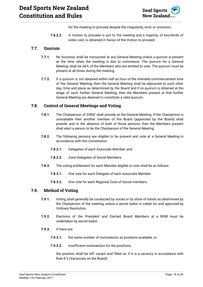

for the meeting to proceed despite the irregularity, error or omission;

**7.6.2.2.** A motion to proceed is put to the meeting and a majority, of two-thirds of votes cast, is obtained in favour of the motion to proceed.

#### <span id="page-16-0"></span>**7.7. Quorum**

- **7.7.1.** No business shall be transacted at any General Meeting unless a quorum is present at the time when the meeting is due to commence. The quorum for a General Meeting shall be 66% of the Members who are entitled to vote. The quorum must be present at all times during the meeting.
- **7.7.2.** If a quorum is not obtained within half an hour of the intended commencement time of the General Meeting, then the General Meeting shall be adjourned to such other day, time and place as determined by the Board and if no quorum is obtained at the stage of such further General Meeting, then the Members present at that further General Meeting are deemed to constitute a valid quorum.

#### <span id="page-16-1"></span>**7.8. Control of General Meetings and Voting**

- **7.8.1.** The Chairperson of DSNZ shall preside at the General Meeting. If the Chairperson is unavailable then another member of the Board (appointed by the Board) shall preside and in the absence of both of those persons, then the Members present shall elect a person to be the Chairperson of the General Meeting.
- **7.8.2.** The following persons are eligible to be present and vote at a General Meeting in accordance with this Constitution:
	- **7.8.2.1.** Delegates of each Associate Member; and
	- **7.8.2.2.** Zone Delegates of Social Members.
- **7.8.3.** The voting entitlement for each Member eligible to vote shall be as follows:
	- **7.8.3.1.** One vote for each Delegate of each Associate Member
	- **7.8.3.2.** One vote for each Regional Zone of Social members.

#### <span id="page-16-2"></span>**7.9. Method of Voting**

- **7.9.1.** Voting shall generally be conducted by voices or by show of hands as determined by the Chairperson of the meeting unless a secret ballot is called for and approved by Ordinary Resolution.
- **7.9.2.** Elections of the President and Elected Board Members at a BGM must be undertaken by secret ballot.
- **7.9.3.** If there are:
	- **7.9.3.1.** the same number of nominations as positions available; or
	- **7.9.3.2.** insufficient nominations for the positions,

the position shall be left vacant and filled as if it is a vacancy in accordance with Rule 8.5 (Vacancies on the Board).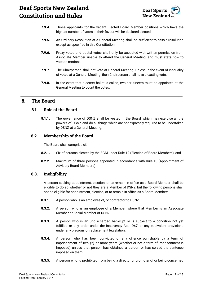# **Deaf Sports New Zealand Constitution and Rules**



- **7.9.4.** Those applicants for the vacant Elected Board Member positions which have the highest number of votes in their favour will be declared elected.
- **7.9.5.** An Ordinary Resolution at a General Meeting shall be sufficient to pass a resolution except as specified in this Constitution.
- **7.9.6.** Proxy votes and postal votes shall only be accepted with written permission from Associate Member unable to attend the General Meeting, and must state how to vote on motions.
- **7.9.7.** The Chairperson shall not vote at General Meeting. Unless in the event of inequality of votes at a General Meeting, then Chairperson shall have a casting vote.
- **7.9.8.** In the event that a secret ballot is called, two scrutineers must be appointed at the General Meeting to count the votes.

## <span id="page-17-1"></span><span id="page-17-0"></span>**8. The Board**

#### **8.1. Role of the Board**

**8.1.1.** The governance of DSNZ shall be vested in the Board, which may exercise all the powers of DSNZ and do all things which are not expressly required to be undertaken by DSNZ at a General Meeting.

#### <span id="page-17-2"></span>**8.2. Membership of the Board**

The Board shall comprise of:

- **8.2.1.** Six of persons elected by the BGM under Rule 12 (Election of Board Members); and
- **8.2.2.** Maximum of three persons appointed in accordance with Rule 13 (Appointment of Advisory Board Members).

#### <span id="page-17-3"></span>**8.3. Ineligibility**

A person seeking appointment, election, or to remain in office as a Board Member shall be eligible to do so whether or not they are a Member of DSNZ, but the following persons shall not be eligible for appointment, election, or to remain in office as a Board Member:

- **8.3.1.** A person who is an employee of, or contractor to DSNZ.
- **8.3.2.** A person who is an employee of a Member, where that Member is an Associate Member or Social Member of DSNZ;
- **8.3.3.** A person who is an undischarged bankrupt or is subject to a condition not yet fulfilled or any order under the Insolvency Act 1967, or any equivalent provisions under any previous or replacement legislation.
- **8.3.4.** A person who has been convicted of any offence punishable by a term of imprisonment of two (2) or more years (whether or not a term of imprisonment is imposed) unless that person has obtained a pardon or has served the sentence imposed on them.
- **8.3.5.** A person who is prohibited from being a director or promoter of or being concerned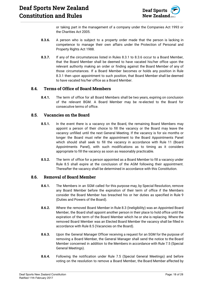

or taking part in the management of a company under the Companies Act 1993 or the Charities Act 2005.

- **8.3.6.** A person who is subject to a property order made that the person is lacking in competence to manage their own affairs under the Protection of Personal and Property Rights Act 1988.
- **8.3.7.** If any of the circumstances listed in Rules 8.3.1 to 8.3.6 occur to a Board Member, that the Board Member shall be deemed to have vacated his/her office upon the relevant authority making an order or finding against the Board Member of any of those circumstances. If a Board Member becomes or holds any position in Rule 8.3.1 then upon appointment to such position, that Board Member shall be deemed to have vacated his/her office as a Board Member.

#### <span id="page-18-0"></span>**8.4. Terms of Office of Board Members**

**8.4.1.** The term of office for all Board Members shall be two years, expiring on conclusion of the relevant BGM. A Board Member may be re-elected to the Board for consecutive terms of office.

#### <span id="page-18-1"></span>**8.5. Vacancies on the Board**

- **8.5.1.** In the event there is a vacancy on the Board, the remaining Board Members may appoint a person of their choice to fill the vacancy or the Board may leave the vacancy unfilled until the next General Meeting. If the vacancy is for six months or longer the Board must refer the appointment to the Board Appointments Panel which should shall seek to fill the vacancy in accordance with Rule 11 (Board Appointments Panel), with such modifications as to timing as it considers appropriate to fill the vacancy as soon as reasonably practicable.
- **8.5.2.** The term of office for a person appointed as a Board Member to fill a vacancy under Rule 8.5 shall expire at the conclusion of the AGM following their appointment. Thereafter the vacancy shall be determined in accordance with this Constitution.

#### <span id="page-18-2"></span>**8.6. Removal of Board Member**

- **8.6.1.** The Members in an SGM called for this purpose may, by Special Resolution, remove any Board Member before the expiration of their term of office if the Members consider the Board Member has breached his or her duties as specified in Rule 9 (Duties and Powers of the Board).
- **8.6.2.** Where the removed Board Member in Rule 8.3 (Ineligibility) was an Appointed Board Member, the Board shall appoint another person in their place to hold office until the expiration of the term of the Board Member which he or she is replacing. Where the removed Board Member was an Elected Board Member the vacancy shall be filled in accordance with Rule 8.5 (Vacancies on the Board).
- **8.6.3.** Upon the General Manager Officer receiving a request for an SGM for the purpose of removing a Board Member, the General Manager shall send the notice to the Board Member concerned in addition to the Members in accordance with Rule 7.5 (Special General Meetings).
- **8.6.4.** Following the notification under Rule 7.5 (Special General Meetings) and before voting on the resolution to remove a Board Member, the Board Member affected by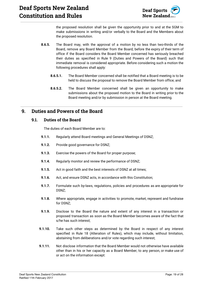

the proposed resolution shall be given the opportunity prior to and at the SGM to make submissions in writing and/or verbally to the Board and the Members about the proposed resolution.

- **8.6.5.** The Board may, with the approval of a motion by no less than two-thirds of the Board, remove any Board Member from the Board, before the expiry of their term of office if the Board considers the Board Member concerned has seriously breached their duties as specified in Rule 9 (Duties and Powers of the Board) such that immediate removal is considered appropriate. Before considering such a motion the following procedures shall apply:
	- **8.6.5.1.** The Board Member concerned shall be notified that a Board meeting is to be held to discuss the proposal to remove the Board Member from office; and
	- **8.6.5.2.** The Board Member concerned shall be given an opportunity to make submissions about the proposed motion to the Board in writing prior to the Board meeting and/or by submission in person at the Board meeting.

## <span id="page-19-1"></span><span id="page-19-0"></span>**9. Duties and Powers of the Board**

#### **9.1. Duties of the Board**

The duties of each Board Member are to:

- **9.1.1.** Regularly attend Board meetings and General Meetings of DSNZ;
- **9.1.2.** Provide good governance for DSNZ;
- **9.1.3.** Exercise the powers of the Board for proper purpose;
- **9.1.4.** Regularly monitor and review the performance of DSNZ;
- **9.1.5.** Act in good faith and the best interests of DSNZ at all times;
- **9.1.6.** Act, and ensure DSNZ acts, in accordance with this Constitution;
- **9.1.7.** Formulate such by-laws, regulations, policies and procedures as are appropriate for DSNZ;
- **9.1.8.** Where appropriate, engage in activities to promote, market, represent and fundraise for DSNZ;
- **9.1.9.** Disclose to the Board the nature and extent of any interest in a transaction or proposed transaction as soon as the Board Member becomes aware of the fact that s/he has such interest;
- **9.1.10.** Take such other steps as determined by the Board in respect of any interest specified in Rule 18 (Alteration of Rules), which may include, without limitation, abstaining from deliberations and/or vote regarding such interest;
- **9.1.11.** Not disclose information that the Board Member would not otherwise have available other than in his or her capacity as a Board Member, to any person, or make use of or act on the information except: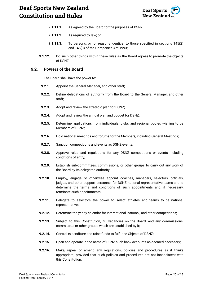

- **9.1.11.1.** As agreed by the Board for the purposes of DSNZ;
- **9.1.11.2.** As required by law; or
- **9.1.11.3.** To persons, or for reasons identical to those specified in sections 145(2) and 145(3) of the Companies Act 1993;
- **9.1.12.** Do such other things within these rules as the Board agrees to promote the objects of DSNZ.

#### <span id="page-20-0"></span>**9.2. Powers of the Board**

The Board shall have the power to:

- **9.2.1.** Appoint the General Manager, and other staff;
- **9.2.2.** Define delegations of authority from the Board to the General Manager, and other staff;
- **9.2.3.** Adopt and review the strategic plan for DSNZ;
- **9.2.4.** Adopt and review the annual plan and budget for DSNZ;
- **9.2.5.** Determine applications from individuals, clubs and regional bodies wishing to be Members of DSNZ;
- **9.2.6.** Hold national meetings and forums for the Members, including General Meetings;
- **9.2.7.** Sanction competitions and events as DSNZ events;
- **9.2.8.** Approve rules and regulations for any DSNZ competitions or events including conditions of entry;
- **9.2.9.** Establish sub-committees, commissions, or other groups to carry out any work of the Board by its delegated authority;
- **9.2.10.** Employ, engage or otherwise appoint coaches, managers, selectors, officials, judges, and other support personnel for DSNZ national representative teams and to determine the terms and conditions of such appointments and, if necessary, terminate such appointments;
- **9.2.11.** Delegate to selectors the power to select athletes and teams to be national representatives;
- **9.2.12.** Determine the yearly calendar for international, national, and other competitions;
- **9.2.13.** Subject to this Constitution, fill vacancies on the Board, and any commissions, committees or other groups which are established by it;
- **9.2.14.** Control expenditure and raise funds to fulfil the Objects of DSNZ;
- **9.2.15.** Open and operate in the name of DSNZ such bank accounts as deemed necessary;
- **9.2.16.** Make, repeal or amend any regulations, policies and procedures as it thinks appropriate, provided that such policies and procedures are not inconsistent with this Constitution;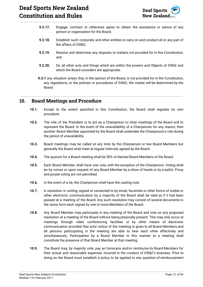

- **9.2.17.** Engage, contract or otherwise agree to obtain the assistance or advice of any person or organisation for the Board;
- **9.2.18.** Establish such corporate and other entities to carry on and conduct all or any part of the affairs of DSNZ;
- **9.2.19.** Resolve and determine any disputes or matters not provided for in this Constitution; and
- **9.2.20.** Do all other acts and things which are within the powers and Objects of DSNZ and which the Board considers are appropriate.
- **9.3.**If any situation arises that, in the opinion of the Board, is not provided for in the Constitution, any regulations, or the policies or procedures of DSNZ, the matter will be determined by the Board.

## <span id="page-21-0"></span>**10. Board Meetings and Procedure**

- **10.1.** Except to the extent specified in this Constitution, the Board shall regulate its own procedure.
- **10.2.** The role of the President is to act as a Chairperson to chair meetings of the Board and to represent the Board. In the event of the unavailability of a Chairperson for any reason, then another Board Member appointed by the Board shall undertake the Chairperson's role during the period of unavailability.
- **10.3.** Board meetings may be called at any time by the Chairperson or two Board Members but generally the Board shall meet at regular intervals agreed by the Board.
- **10.4.** The quorum for a Board meeting shall be 50% of elected Board Members of the Board.
- **10.5.** Each Board Member shall have one vote, with the exception of the Chairperson. Voting shall be by voices or upon request of any Board Member by a show of hands or by a ballot. Proxy and postal voting are not permitted.
- **10.6.** In the event of a tie, the Chairperson shall have the casting vote.
- **10.7.** A resolution in writing, signed or consented to by email, facsimile or other forms of visible or other electronic communication by a majority of the Board shall be valid as if it had been passed at a meeting of the Board. Any such resolution may consist of several documents in the same form each signed by one or more Members of the Board.
- **10.8.** Any Board Member may participate in any meeting of the Board and vote on any proposed resolution at a meeting of the Board without being physically present. This may only occur at meetings through video conferencing facilities or by other means of electronic communication provided that prior notice of the meeting is given to all Board Members and all persons participating in the meeting are able to hear each other effectively and simultaneously. Participation by a Board Member in this manner at a meeting shall constitute the presence of that Board Member at that meeting.
- **10.9.** The Board may, by majority vote, pay an honoraria and/or reimburse its Board Members for their actual and reasonable expenses incurred in the conduct of DSNZ's business. Prior to doing so the Board must establish a policy to be applied to any question of reimbursement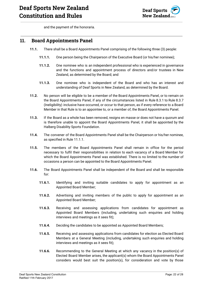

and the payment of the honoraria.

## <span id="page-22-0"></span>**11. Board Appointments Panel**

- **11.1.** There shall be a Board Appointments Panel comprising of the following three (3) people:
	- **11.1.1.** One person being the Chairperson of the Executive Board (or his/her nominee);
	- **11.1.2.** One nominee who is an independent professional who is experienced in governance and the functions and appointment process of directors and/or trustees in New Zealand, as determined by the Board; and
	- **11.1.3.** One nominee who is independent of the Board and who has an interest and understanding of Deaf Sports in New Zealand, as determined by the Board.
- **11.2.** No person will be eligible to be a member of the Board Appointments Panel, or to remain on the Board Appointments Panel, if any of the circumstances listed in Rule 8.3.1 to Rule 8.3.7 (Ineligibility) inclusive have occurred, or occur to that person, as if every reference to a Board Member in that Rule is to an appointee to, or a member of, the Board Appointments Panel.
- **11.3.** If the Board as a whole has been removed, resigns en masse or does not have a quorum and is therefore unable to appoint the Board Appointments Panel, it shall be appointed by the Halberg Disability Sports Foundation.
- **11.4.** The convener of the Board Appointments Panel shall be the Chairperson or his/her nominee, as specified in Rule 11.1.1.
- **11.5.** The members of the Board Appointments Panel shall remain in office for the period necessary to fulfil their responsibilities in relation to each vacancy of a Board Member for which the Board Appointments Panel was established. There is no limited to the number of occasions a person can be appointed to the Board Appointments Panel.
- **11.6.** The Board Appointments Panel shall be independent of the Board and shall be responsible for:
	- **11.6.1.** Identifying and inviting suitable candidates to apply for appointment as an Appointed Board Member;
	- **11.6.2.** Advertising and inviting members of the public to apply for appointment as an Appointed Board Member;
	- **11.6.3.** Receiving and assessing applications from candidates for appointment as Appointed Board Members (including, undertaking such enquiries and holding interviews and meetings as it sees fit);
	- **11.6.4.** Deciding the candidates to be appointed as Appointed Board Members;
	- **11.6.5.** Receiving and assessing applications from candidates for election as Elected Board Members at a General Meeting (including, undertaking such enquiries and holding interviews and meetings as it sees fit);
	- **11.6.6.** Recommending to the General Meeting at which any vacancy in the position(s) of Elected Board Member arises, the applicant(s) whom the Board Appointments Panel considers would best suit the position(s), for consideration and vote by those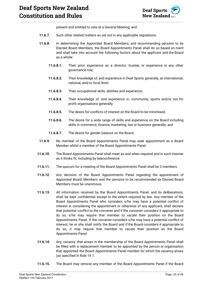# **Deaf Sports New Zealand Constitution and Rules**



present and entitled to vote at a General Meeting; and

- **11.6.7.** Such other related matters as set out in any applicable regulations.
- **11.6.8.** In determining the Appointed Board Members, and recommending persons to be Elected Board Members, the Board Appointments Panel shall do so based on merit and shall take into account the following factors about the applicant and the Board as a whole:
	- **11.6.8.1.** Their prior experience as a director, trustee, or experience in any other governance role;
	- **11.6.8.2.** Their knowledge of, and experience in Deaf Sports generally, at international, national, and/or local level;
	- **11.6.8.3.** Their occupational skills, abilities and experience;
	- **11.6.8.4.** Their knowledge of, and experience in, community, sports and/or not for profit organisations generally;
	- **11.6.8.5.** The desire for conflicts of interest on the Board to be minimised;
	- **11.6.8.6.** The desire for a wide range of skills and experience on the Board including skills in commerce, finance, marketing, law or business generally; and
	- **11.6.8.7.** The desire for gender balance on the Board.
- **11.6.9.** No member of the Board Appointments Panel may seek appointment as a Board Member whilst a member of the Board Appointments Panel.
- **11.6.10.** The Board Appointments Panel shall meet as and when required and in such manner as it thinks fit, including by teleconference.
- **11.6.11.** The quorum for a meeting of the Board Appointments Panel shall be 3 members.
- **11.6.12.** Any decision of the Board Appointments Panel regarding the appointment of Appointed Board Members and the persons to be recommended as Elected Board Members must be unanimous.
- **11.6.13.** All information received by the Board Appointments Panel, and its deliberations, shall be kept confidential except to the extent required by law. Any member of the Board Appointments Panel who considers s/he may have a potential conflict of interest in considering the appointment or otherwise of any applicant, shall declare that potential conflict to the convener and if the convener considers it appropriate to do so, s/he may require that member to vacate their position on the Board Appointments Panel. If the convener considers s/he may have a potential conflict of interest, he or she shall notify the Board and if the Board considers it appropriate to do so, it may require that member to vacate their position on the Board Appointments Panel.
- **11.6.14.** Any vacancy that arises in the membership of the Board Appointments Panel shall be filled with a replacement member to be appointed by the person or organisation that appointed the Board Appointments Panel member for which the vacancy arises (as specified in Rule 19.1.
- **11.6.15.** The Board may remove any member of the Board Appointments Panel if the Board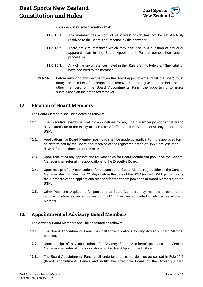

considers, in its sole discretion, that:

- **11.6.15.1.** The member has a conflict of interest which has not be satisfactorily resolved to the Board's satisfaction by the convener;
- **11.6.15.2.** There are circumstances which may give rise to a question of actual or apparent bias in the Board Appointment Panel's composition and/or process; or
- **11.6.15.3.** Any of the circumstances listed in the Rule 8.3.1 to Rule 8.3.7 (Ineligibility) have occurred to the member.
- **11.6.16.** Before removing any member from the Board Appointments Panel, the Board must notify the member of its proposal to remove them and give the member and the other members of the Board Appointments Panel the opportunity to make submissions on the proposed removal.

## <span id="page-24-0"></span>**12. Election of Board Members**

The Board Members shall be elected as follows:

- **12.1.** The Executive Board shall call for applications for any Board Member positions that are to be vacated due to the expiry of their term of office at an BGM at least 90 days prior to the **BGM**
- **12.2.** Applications for Board Member positions shall be made by applicants in the approved form as determined by the Board and received at the registered office of DSNZ not less than 30 days before the date set for the BGM.
- **12.3.** Upon receipt of any applications for vacancies for Board Member(s) positions, the General Manager shall refer all the applications to the Executive Board.
- **12.4.** Upon receipt of any applications for vacancies for Board Member(s) positions, the General Manager shall no later than 21 days before the date of the BGM (in the BGM Agenda), notify the Members of the applications received for the vacant positions of Board Members, at the BGM.
- **12.5.** Other Positions: Applicants for positions as Board Members may not hold or continue to hold, a position as an employee of DSNZ if they are appointed or elected as a Board Member.

## <span id="page-24-1"></span>**13. Appointment of Advisory Board Members**

The Advisory Board Members shall be appointed as follows:

- **13.1.** The Board Appointments Panel may call for applications for any Advisory Board Member position.
- **13.2.** Upon receipt of any applications for Advisory Board Member(s) positions, the General Manager shall refer all the applications to the Board Appointments Panel.
- **13.3.** The Board Appointments Panel shall undertake its responsibilities as set out in Rule 11.6 (Board Appointments Panel) and notify the Executive Board of the Advisory Board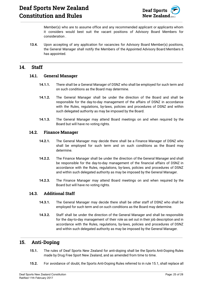

Member(s) who are to assume office and any recommended applicant or applicants whom it considers would best suit the vacant positions of Advisory Board Members for consideration .

**13.4.** Upon accepting of any application for vacancies for Advisory Board Member(s) positions, the General Manager shall notify the Members of the Appointed Advisory Board Members it has appointed.

## <span id="page-25-1"></span><span id="page-25-0"></span>**14. Staff**

#### **14.1. General Manager**

- **14.1.1.** There shall be a General Manager of DSNZ who shall be employed for such term and on such conditions as the Board may determine.
- **14.1.2.** The General Manager shall be under the direction of the Board and shall be responsible for the day-to-day management of the affairs of DSNZ in accordance with the Rules, regulations, by-laws, policies and procedures of DSNZ and within such delegated authority as may be imposed by the Board.
- **14.1.3.** The General Manager may attend Board meetings on and when required by the Board but will have no voting rights.

#### <span id="page-25-2"></span>**14.2. Finance Manager**

- **14.2.1.** The General Manager may decide there shall be a Finance Manager of DSNZ who shall be employed for such term and on such conditions as the Board may determine.
- **14.2.2.** The Finance Manager shall be under the direction of the General Manager and shall be responsible for the day-to-day management of the financial affairs of DSNZ in accordance with the Rules, regulations, by-laws, policies and procedures of DSNZ and within such delegated authority as may be imposed by the General Manager.
- **14.2.3.** The Finance Manager may attend Board meetings on and when required by the Board but will have no voting rights.

#### <span id="page-25-3"></span>**14.3. Additional Staff**

- **14.3.1.** The General Manager may decide there shall be other staff of DSNZ who shall be employed for such term and on such conditions as the Board may determine.
- **14.3.2.** Staff shall be under the direction of the General Manager and shall be responsible for the day-to-day management of their role as set out in their job description and in accordance with the Rules, regulations, by-laws, policies and procedures of DSNZ and within such delegated authority as may be imposed by the General Manager.

#### <span id="page-25-4"></span>**15. Anti-Doping**

- **15.1.** The rules of Deaf Sports New Zealand for anti-doping shall be the Sports Anti-Doping Rules made by Drug Free Sport New Zealand, and as amended from time to time.
- **15.2.** For avoidance of doubt, the Sports Anti-Doping Rules referred to in rule 15.1, shall replace all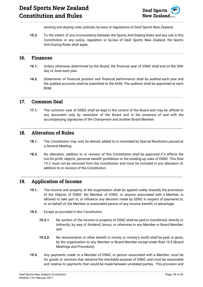

existing anti-doping rules, policies, by-laws or regulations of Deaf Sports New Zealand.

**15.3.** To the extent of any inconsistency between the Sports Anti-Doping Rules and any rule in this Constitution or any policy, regulation or by-law of Deaf Sports New Zealand, the Sports Anti-Doping Rules shall apply.

#### <span id="page-26-0"></span>**16. Finances**

- **16.1.** Unless otherwise determined by the Board, the financial year of DSNZ shall end on the 30th day of June each year.
- **16.2.** Statements of financial position and financial performance shall be audited each year and the audited accounts shall be submitted to the AGM. The auditors shall be appointed at each BGM.

## <span id="page-26-1"></span>**17. Common Seal**

**17.1.** The common seal of DSNZ shall be kept in the control of the Board and may be affixed to any document only by resolution of the Board and in the presence of and with the accompanying signatures of the Chairperson and another Board Member.

### <span id="page-26-2"></span>**18. Alteration of Rules**

- **18.1.** The Constitution may only be altered, added to or rescinded by Special Resolution passed at a General Meeting.
- **18.2.** No alteration, addition to or revision of this Constitution shall be approved if it affects the not-for-profit objects, personal benefit prohibition or the winding-up rules of DSNZ. This Rule 19.2 must not be removed from the Constitution and must be included in any alteration of, addition to or revision of the Constitution.

## <span id="page-26-3"></span>**19. Application of Income**

- **19.1.** The income and property of the organisation shall be applied solely towards the promotion of the Objects of DSNZ. No Member of DSNZ, or anyone associated with a Member, is allowed to take part in, or influence any decision made by DSNZ in respect of payments to, or on behalf of, the Member or associated person of any income, benefit, or advantage.
- **19.2.** Except as provided in this Constitution:
	- **19.2.1.** No portion of the income or property of DSNZ shall be paid or transferred, directly or indirectly, by way of dividend, bonus, or otherwise to any Member or Board Member; and
	- **19.2.2.** No remuneration or other benefit in money or money's worth shall be paid, or given, by the organisation to any Member or Board Member except under Rule 10.9 (Board Meetings and Procedure).
- **19.3.** Any payments made to a Member of DSNZ, or person associated with a Member, must be for goods or services that advance the charitable purpose of DSNZ, and must be reasonable and relative to payments that would be made between unrelated parties. This provision and